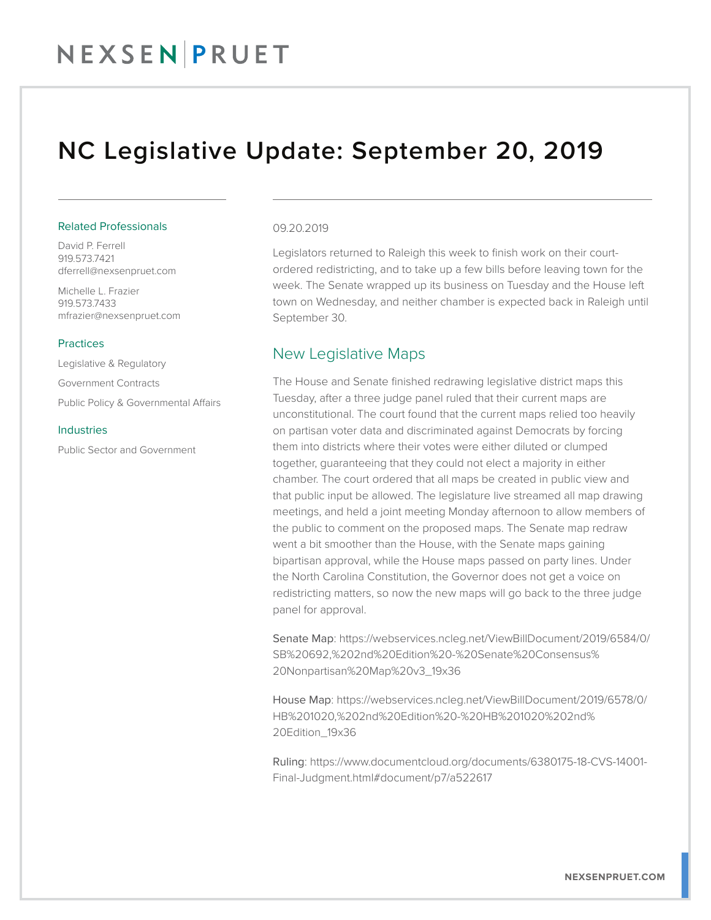### NC Legislative Update: September 20, 2019

#### Related Professionals

David P. Ferrell 919.573.7421 dferrell@nexsenpruet.com

Michelle L. Frazier 919.573.7433 mfrazier@nexsenpruet.com

#### **Practices**

Legislative & Regulatory

Government Contracts

Public Policy & Governmental Affairs

#### Industries

Public Sector and Government

#### 09.20.2019

Legislators returned to Raleigh this week to finish work on their courtordered redistricting, and to take up a few bills before leaving town for the week. The Senate wrapped up its business on Tuesday and the House left town on Wednesday, and neither chamber is expected back in Raleigh until September 30.

### New Legislative Maps

The House and Senate finished redrawing legislative district maps this Tuesday, after a three judge panel ruled that their current maps are unconstitutional. The court found that the current maps relied too heavily on partisan voter data and discriminated against Democrats by forcing them into districts where their votes were either diluted or clumped together, guaranteeing that they could not elect a majority in either chamber. The court ordered that all maps be created in public view and that public input be allowed. The legislature live streamed all map drawing meetings, and held a joint meeting Monday afternoon to allow members of the public to comment on the proposed maps. The Senate map redraw went a bit smoother than the House, with the Senate maps gaining bipartisan approval, while the House maps passed on party lines. Under the North Carolina Constitution, the Governor does not get a voice on redistricting matters, so now the new maps will go back to the three judge panel for approval.

Senate Map: https://webservices.ncleg.net/ViewBillDocument/2019/6584/0/ SB%20692,%202nd%20Edition%20-%20Senate%20Consensus% 20Nonpartisan%20Map%20v3\_19x36

House Map: https://webservices.ncleg.net/ViewBillDocument/2019/6578/0/ HB%201020,%202nd%20Edition%20-%20HB%201020%202nd% 20Edition\_19x36

Ruling: https://www.documentcloud.org/documents/6380175-18-CVS-14001- Final-Judgment.html#document/p7/a522617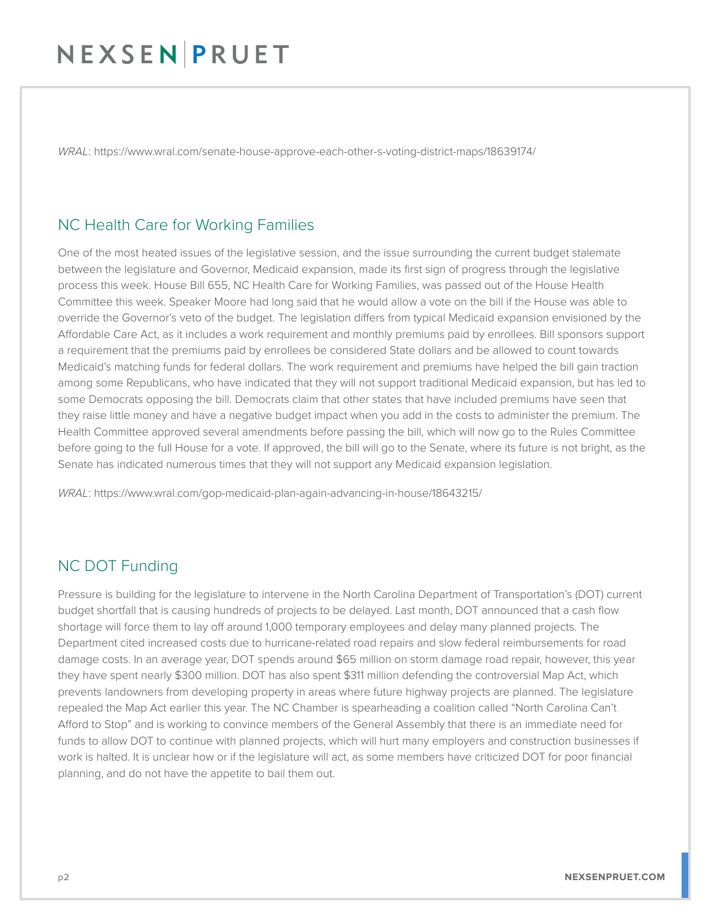*WRAL*: https://www.wral.com/senate-house-approve-each-other-s-voting-district-maps/18639174/

### NC Health Care for Working Families

One of the most heated issues of the legislative session, and the issue surrounding the current budget stalemate between the legislature and Governor, Medicaid expansion, made its first sign of progress through the legislative process this week. House Bill 655, NC Health Care for Working Families, was passed out of the House Health Committee this week. Speaker Moore had long said that he would allow a vote on the bill if the House was able to override the Governor's veto of the budget. The legislation differs from typical Medicaid expansion envisioned by the Affordable Care Act, as it includes a work requirement and monthly premiums paid by enrollees. Bill sponsors support a requirement that the premiums paid by enrollees be considered State dollars and be allowed to count towards Medicaid's matching funds for federal dollars. The work requirement and premiums have helped the bill gain traction among some Republicans, who have indicated that they will not support traditional Medicaid expansion, but has led to some Democrats opposing the bill. Democrats claim that other states that have included premiums have seen that they raise little money and have a negative budget impact when you add in the costs to administer the premium. The Health Committee approved several amendments before passing the bill, which will now go to the Rules Committee before going to the full House for a vote. If approved, the bill will go to the Senate, where its future is not bright, as the Senate has indicated numerous times that they will not support any Medicaid expansion legislation.

*WRAL*: https://www.wral.com/gop-medicaid-plan-again-advancing-in-house/18643215/

### NC DOT Funding

Pressure is building for the legislature to intervene in the North Carolina Department of Transportation's (DOT) current budget shortfall that is causing hundreds of projects to be delayed. Last month, DOT announced that a cash flow shortage will force them to lay off around 1,000 temporary employees and delay many planned projects. The Department cited increased costs due to hurricane-related road repairs and slow federal reimbursements for road damage costs. In an average year, DOT spends around \$65 million on storm damage road repair, however, this year they have spent nearly \$300 million. DOT has also spent \$311 million defending the controversial Map Act, which prevents landowners from developing property in areas where future highway projects are planned. The legislature repealed the Map Act earlier this year. The NC Chamber is spearheading a coalition called "North Carolina Can't Afford to Stop" and is working to convince members of the General Assembly that there is an immediate need for funds to allow DOT to continue with planned projects, which will hurt many employers and construction businesses if work is halted. It is unclear how or if the legislature will act, as some members have criticized DOT for poor financial planning, and do not have the appetite to bail them out.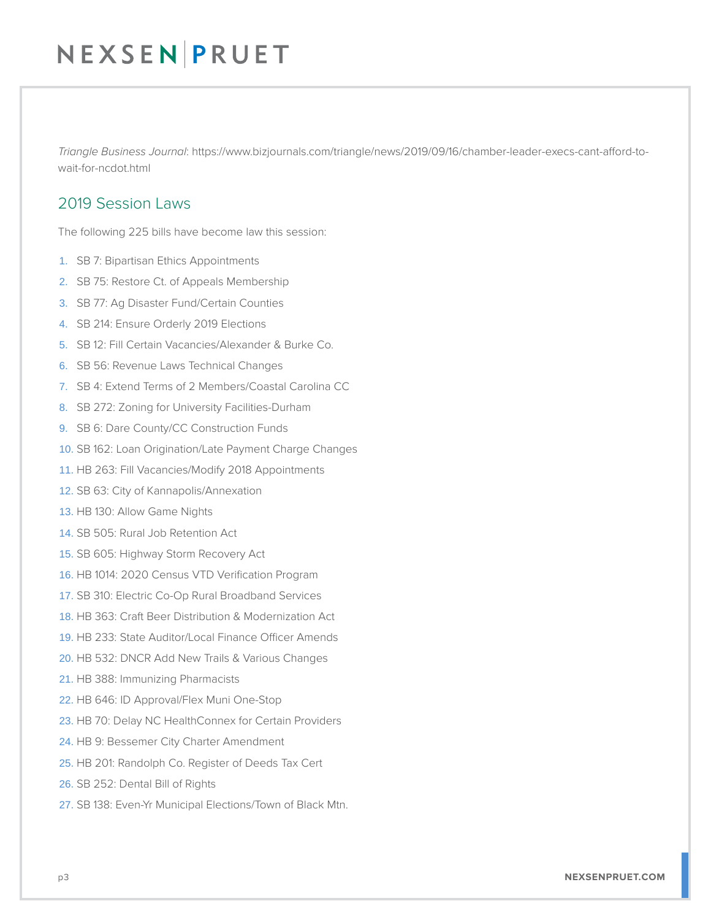*Triangle Business Journal*: https://www.bizjournals.com/triangle/news/2019/09/16/chamber-leader-execs-cant-afford-towait-for-ncdot.html

### 2019 Session Laws

The following 225 bills have become law this session:

- 1. SB 7: Bipartisan Ethics Appointments
- 2. SB 75: Restore Ct. of Appeals Membership
- 3. SB 77: Ag Disaster Fund/Certain Counties
- 4. SB 214: Ensure Orderly 2019 Elections
- 5. SB 12: Fill Certain Vacancies/Alexander & Burke Co.
- 6. SB 56: Revenue Laws Technical Changes
- 7. SB 4: Extend Terms of 2 Members/Coastal Carolina CC
- 8. SB 272: Zoning for University Facilities-Durham
- 9. SB 6: Dare County/CC Construction Funds
- 10. SB 162: Loan Origination/Late Payment Charge Changes
- 11. HB 263: Fill Vacancies/Modify 2018 Appointments
- 12. SB 63: City of Kannapolis/Annexation
- 13. HB 130: Allow Game Nights
- 14. SB 505: Rural Job Retention Act
- 15. SB 605: Highway Storm Recovery Act
- 16. HB 1014: 2020 Census VTD Verification Program
- 17. SB 310: Electric Co-Op Rural Broadband Services
- 18. HB 363: Craft Beer Distribution & Modernization Act
- 19. HB 233: State Auditor/Local Finance Officer Amends
- 20. HB 532: DNCR Add New Trails & Various Changes
- 21. HB 388: Immunizing Pharmacists
- 22. HB 646: ID Approval/Flex Muni One-Stop
- 23. HB 70: Delay NC HealthConnex for Certain Providers
- 24. HB 9: Bessemer City Charter Amendment
- 25. HB 201: Randolph Co. Register of Deeds Tax Cert
- 26. SB 252: Dental Bill of Rights
- 27. SB 138: Even-Yr Municipal Elections/Town of Black Mtn.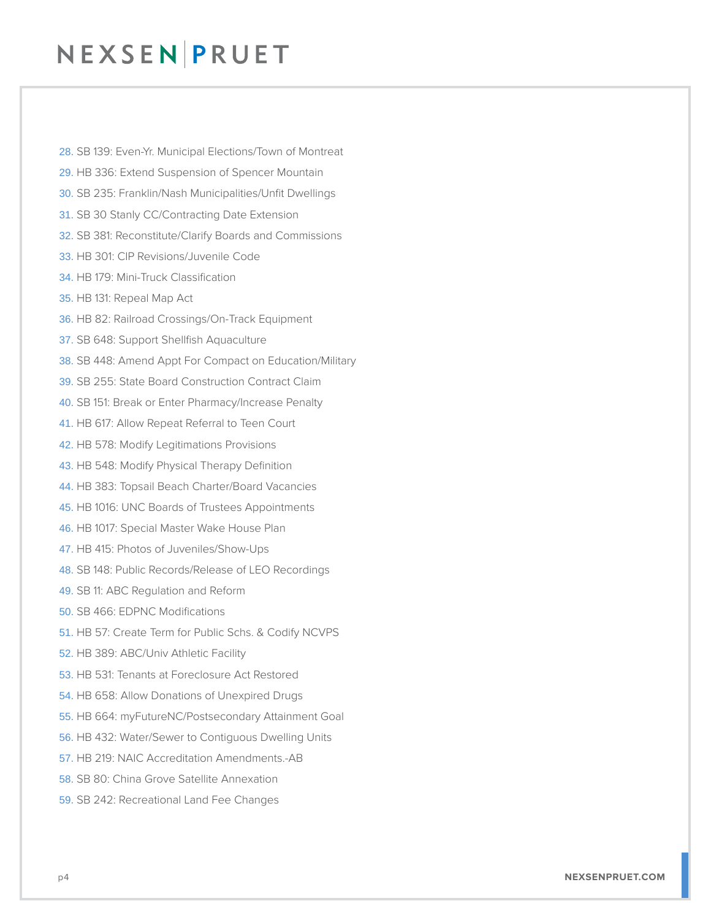28. SB 139: Even-Yr. Municipal Elections/Town of Montreat 29. HB 336: Extend Suspension of Spencer Mountain 30. SB 235: Franklin/Nash Municipalities/Unfit Dwellings 31. SB 30 Stanly CC/Contracting Date Extension 32. SB 381: Reconstitute/Clarify Boards and Commissions 33. HB 301: CIP Revisions/Juvenile Code 34. HB 179: Mini-Truck Classification 35. HB 131: Repeal Map Act 36. HB 82: Railroad Crossings/On-Track Equipment 37. SB 648: Support Shellfish Aquaculture 38. SB 448: Amend Appt For Compact on Education/Military 39. SB 255: State Board Construction Contract Claim 40. SB 151: Break or Enter Pharmacy/Increase Penalty 41. HB 617: Allow Repeat Referral to Teen Court 42. HB 578: Modify Legitimations Provisions 43. HB 548: Modify Physical Therapy Definition 44. HB 383: Topsail Beach Charter/Board Vacancies 45. HB 1016: UNC Boards of Trustees Appointments 46. HB 1017: Special Master Wake House Plan 47. HB 415: Photos of Juveniles/Show-Ups 48. SB 148: Public Records/Release of LEO Recordings 49. SB 11: ABC Regulation and Reform 50. SB 466: EDPNC Modifications 51. HB 57: Create Term for Public Schs. & Codify NCVPS 52. HB 389: ABC/Univ Athletic Facility 53. HB 531: Tenants at Foreclosure Act Restored 54. HB 658: Allow Donations of Unexpired Drugs 55. HB 664: myFutureNC/Postsecondary Attainment Goal 56. HB 432: Water/Sewer to Contiguous Dwelling Units 57. HB 219: NAIC Accreditation Amendments.-AB 58. SB 80: China Grove Satellite Annexation 59. SB 242: Recreational Land Fee Changes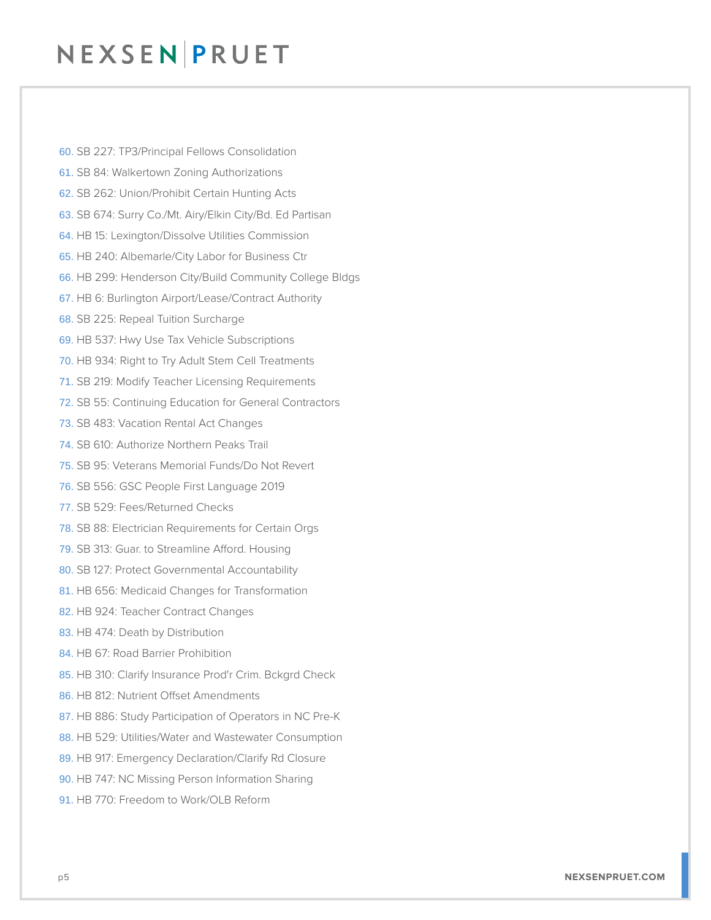60. SB 227: TP3/Principal Fellows Consolidation 61. SB 84: Walkertown Zoning Authorizations 62. SB 262: Union/Prohibit Certain Hunting Acts 63. SB 674: Surry Co./Mt. Airy/Elkin City/Bd. Ed Partisan 64. HB 15: Lexington/Dissolve Utilities Commission 65. HB 240: Albemarle/City Labor for Business Ctr 66. HB 299: Henderson City/Build Community College Bldgs 67. HB 6: Burlington Airport/Lease/Contract Authority 68. SB 225: Repeal Tuition Surcharge 69. HB 537: Hwy Use Tax Vehicle Subscriptions 70. HB 934: Right to Try Adult Stem Cell Treatments 71. SB 219: Modify Teacher Licensing Requirements 72. SB 55: Continuing Education for General Contractors 73. SB 483: Vacation Rental Act Changes 74. SB 610: Authorize Northern Peaks Trail 75. SB 95: Veterans Memorial Funds/Do Not Revert 76. SB 556: GSC People First Language 2019 77. SB 529: Fees/Returned Checks 78. SB 88: Electrician Requirements for Certain Orgs 79. SB 313: Guar. to Streamline Afford. Housing 80. SB 127: Protect Governmental Accountability 81. HB 656: Medicaid Changes for Transformation 82. HB 924: Teacher Contract Changes 83. HB 474: Death by Distribution 84. HB 67: Road Barrier Prohibition 85. HB 310: Clarify Insurance Prod'r Crim. Bckgrd Check 86. HB 812: Nutrient Offset Amendments 87. HB 886: Study Participation of Operators in NC Pre-K 88. HB 529: Utilities/Water and Wastewater Consumption 89. HB 917: Emergency Declaration/Clarify Rd Closure 90. HB 747: NC Missing Person Information Sharing 91. HB 770: Freedom to Work/OLB Reform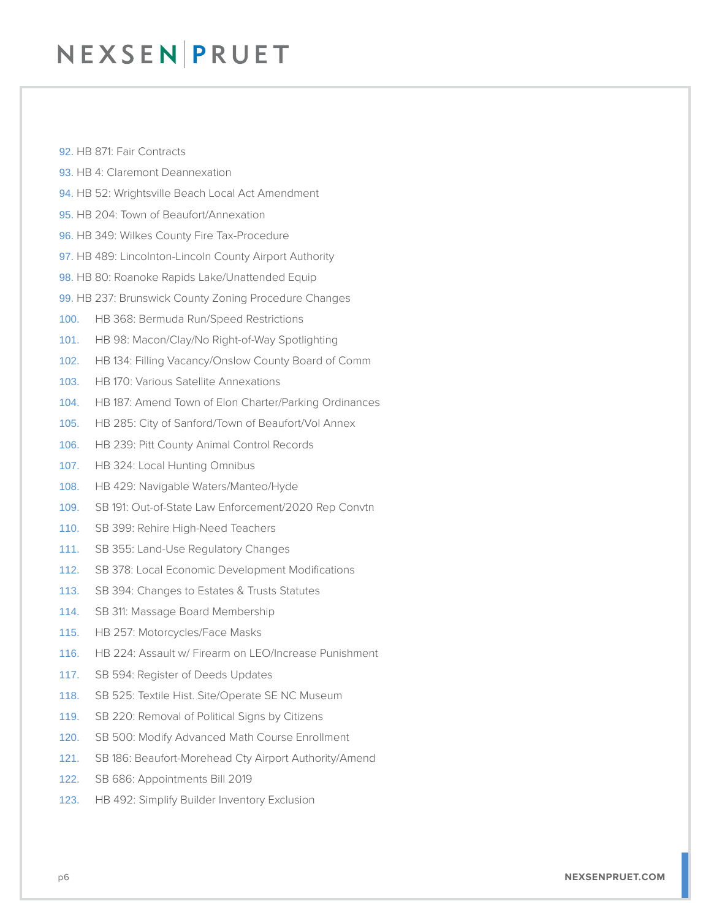- 92. HB 871: Fair Contracts
- 93. HB 4: Claremont Deannexation
- 94. HB 52: Wrightsville Beach Local Act Amendment
- 95. HB 204: Town of Beaufort/Annexation
- 96. HB 349: Wilkes County Fire Tax-Procedure
- 97. HB 489: Lincolnton-Lincoln County Airport Authority
- 98. HB 80: Roanoke Rapids Lake/Unattended Equip
- 99. HB 237: Brunswick County Zoning Procedure Changes
- 100. HB 368: Bermuda Run/Speed Restrictions
- 101. HB 98: Macon/Clay/No Right-of-Way Spotlighting
- 102. HB 134: Filling Vacancy/Onslow County Board of Comm
- 103. HB 170: Various Satellite Annexations
- 104. HB 187: Amend Town of Elon Charter/Parking Ordinances
- 105. HB 285: City of Sanford/Town of Beaufort/Vol Annex
- 106. HB 239: Pitt County Animal Control Records
- 107. HB 324: Local Hunting Omnibus
- 108. HB 429: Navigable Waters/Manteo/Hyde
- 109. SB 191: Out-of-State Law Enforcement/2020 Rep Convtn
- 110. SB 399: Rehire High-Need Teachers
- 111. SB 355: Land-Use Regulatory Changes
- 112. SB 378: Local Economic Development Modifications
- 113. SB 394: Changes to Estates & Trusts Statutes
- 114. SB 311: Massage Board Membership
- 115. HB 257: Motorcycles/Face Masks
- 116. HB 224: Assault w/ Firearm on LEO/Increase Punishment
- 117. SB 594: Register of Deeds Updates
- 118. SB 525: Textile Hist. Site/Operate SE NC Museum
- 119. SB 220: Removal of Political Signs by Citizens
- 120. SB 500: Modify Advanced Math Course Enrollment
- 121. SB 186: Beaufort-Morehead Cty Airport Authority/Amend
- 122. SB 686: Appointments Bill 2019
- 123. HB 492: Simplify Builder Inventory Exclusion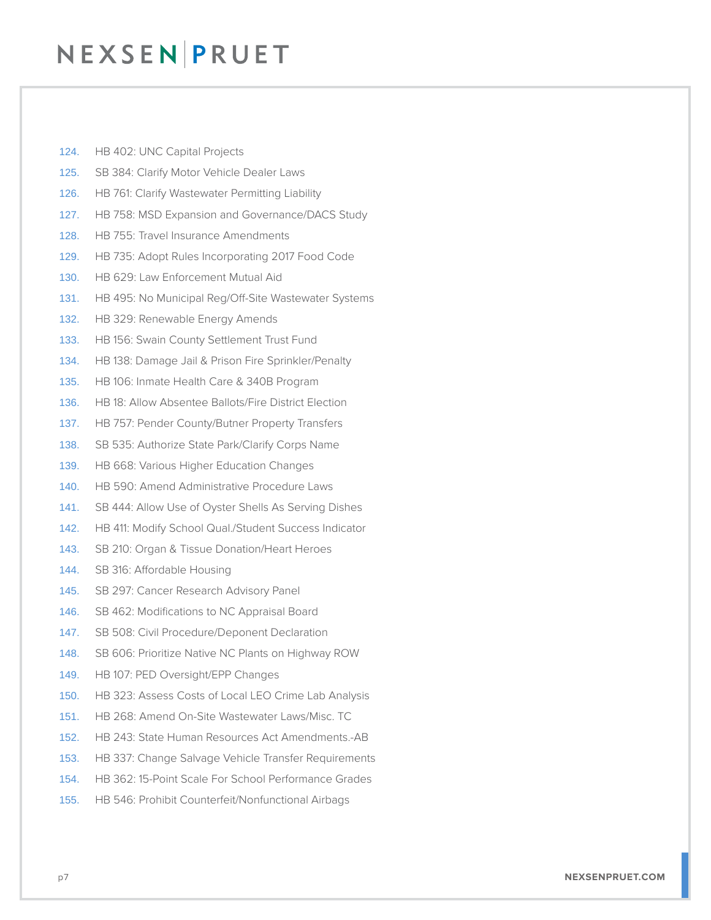- 124. HB 402: UNC Capital Projects
- 125. SB 384: Clarify Motor Vehicle Dealer Laws
- 126. HB 761: Clarify Wastewater Permitting Liability
- 127. HB 758: MSD Expansion and Governance/DACS Study
- 128. HB 755: Travel Insurance Amendments
- 129. HB 735: Adopt Rules Incorporating 2017 Food Code
- 130. HB 629: Law Enforcement Mutual Aid
- 131. HB 495: No Municipal Reg/Off-Site Wastewater Systems
- 132. HB 329: Renewable Energy Amends
- 133. HB 156: Swain County Settlement Trust Fund
- 134. HB 138: Damage Jail & Prison Fire Sprinkler/Penalty
- 135. HB 106: Inmate Health Care & 340B Program
- 136. HB 18: Allow Absentee Ballots/Fire District Election
- 137. HB 757: Pender County/Butner Property Transfers
- 138. SB 535: Authorize State Park/Clarify Corps Name
- 139. HB 668: Various Higher Education Changes
- 140. HB 590: Amend Administrative Procedure Laws
- 141. SB 444: Allow Use of Oyster Shells As Serving Dishes
- 142. HB 411: Modify School Qual./Student Success Indicator
- 143. SB 210: Organ & Tissue Donation/Heart Heroes
- 144. SB 316: Affordable Housing
- 145. SB 297: Cancer Research Advisory Panel
- 146. SB 462: Modifications to NC Appraisal Board
- 147. SB 508: Civil Procedure/Deponent Declaration
- 148. SB 606: Prioritize Native NC Plants on Highway ROW
- 149. HB 107: PED Oversight/EPP Changes
- 150. HB 323: Assess Costs of Local LEO Crime Lab Analysis
- 151. HB 268: Amend On-Site Wastewater Laws/Misc. TC
- 152. HB 243: State Human Resources Act Amendments.-AB
- 153. HB 337: Change Salvage Vehicle Transfer Requirements
- 154. HB 362: 15-Point Scale For School Performance Grades
- 155. HB 546: Prohibit Counterfeit/Nonfunctional Airbags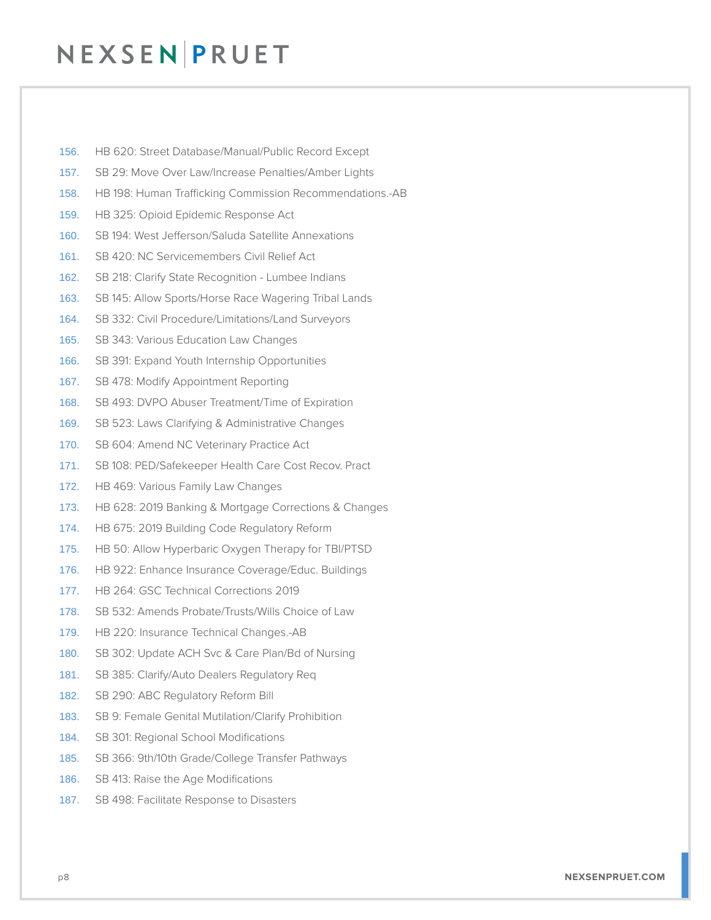- 156. HB 620: Street Database/Manual/Public Record Except
- 157. SB 29: Move Over Law/Increase Penalties/Amber Lights
- 158. HB 198: Human Trafficking Commission Recommendations.-AB
- 159. HB 325: Opioid Epidemic Response Act
- 160. SB 194: West Jefferson/Saluda Satellite Annexations
- 161. SB 420: NC Servicemembers Civil Relief Act
- 162. SB 218: Clarify State Recognition Lumbee Indians
- 163. SB 145: Allow Sports/Horse Race Wagering Tribal Lands
- 164. SB 332: Civil Procedure/Limitations/Land Surveyors
- 165. SB 343: Various Education Law Changes
- 166. SB 391: Expand Youth Internship Opportunities
- 167. SB 478: Modify Appointment Reporting
- 168. SB 493: DVPO Abuser Treatment/Time of Expiration
- 169. SB 523: Laws Clarifying & Administrative Changes
- 170. SB 604: Amend NC Veterinary Practice Act
- 171. SB 108: PED/Safekeeper Health Care Cost Recov. Pract
- 172. HB 469: Various Family Law Changes
- 173. HB 628: 2019 Banking & Mortgage Corrections & Changes
- 174. HB 675: 2019 Building Code Regulatory Reform
- 175. HB 50: Allow Hyperbaric Oxygen Therapy for TBI/PTSD
- 176. HB 922: Enhance Insurance Coverage/Educ. Buildings
- 177. HB 264: GSC Technical Corrections 2019
- 178. SB 532: Amends Probate/Trusts/Wills Choice of Law
- 179. HB 220: Insurance Technical Changes.-AB
- 180. SB 302: Update ACH Svc & Care Plan/Bd of Nursing
- 181. SB 385: Clarify/Auto Dealers Regulatory Req
- 182. SB 290: ABC Regulatory Reform Bill
- 183. SB 9: Female Genital Mutilation/Clarify Prohibition
- 184. SB 301: Regional School Modifications
- 185. SB 366: 9th/10th Grade/College Transfer Pathways
- 186. SB 413: Raise the Age Modifications
- 187. SB 498: Facilitate Response to Disasters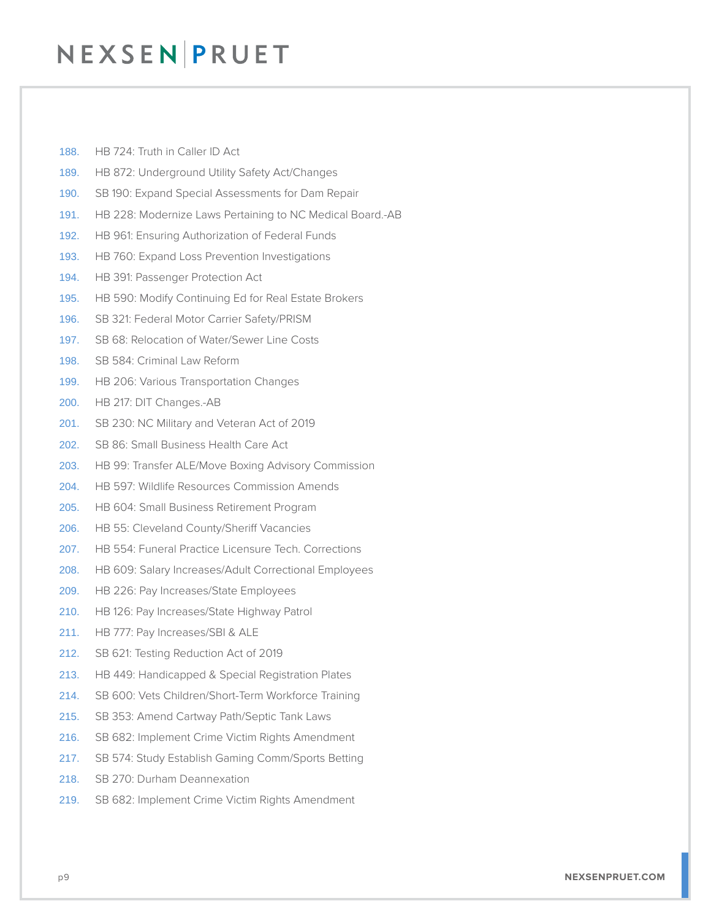- 188. HB 724: Truth in Caller ID Act
- 189. HB 872: Underground Utility Safety Act/Changes
- 190. SB 190: Expand Special Assessments for Dam Repair
- 191. HB 228: Modernize Laws Pertaining to NC Medical Board.-AB
- 192. HB 961: Ensuring Authorization of Federal Funds
- 193. HB 760: Expand Loss Prevention Investigations
- 194. HB 391: Passenger Protection Act
- 195. HB 590: Modify Continuing Ed for Real Estate Brokers
- 196. SB 321: Federal Motor Carrier Safety/PRISM
- 197. SB 68: Relocation of Water/Sewer Line Costs
- 198. SB 584: Criminal Law Reform
- 199. HB 206: Various Transportation Changes
- 200. HB 217: DIT Changes.-AB
- 201. SB 230: NC Military and Veteran Act of 2019
- 202. SB 86: Small Business Health Care Act
- 203. HB 99: Transfer ALE/Move Boxing Advisory Commission
- 204. HB 597: Wildlife Resources Commission Amends
- 205. HB 604: Small Business Retirement Program
- 206. HB 55: Cleveland County/Sheriff Vacancies
- 207. HB 554: Funeral Practice Licensure Tech. Corrections
- 208. HB 609: Salary Increases/Adult Correctional Employees
- 209. HB 226: Pay Increases/State Employees
- 210. HB 126: Pay Increases/State Highway Patrol
- 211. HB 777: Pay Increases/SBI & ALE
- 212. SB 621: Testing Reduction Act of 2019
- 213. HB 449: Handicapped & Special Registration Plates
- 214. SB 600: Vets Children/Short-Term Workforce Training
- 215. SB 353: Amend Cartway Path/Septic Tank Laws
- 216. SB 682: Implement Crime Victim Rights Amendment
- 217. SB 574: Study Establish Gaming Comm/Sports Betting
- 218. SB 270: Durham Deannexation
- 219. SB 682: Implement Crime Victim Rights Amendment